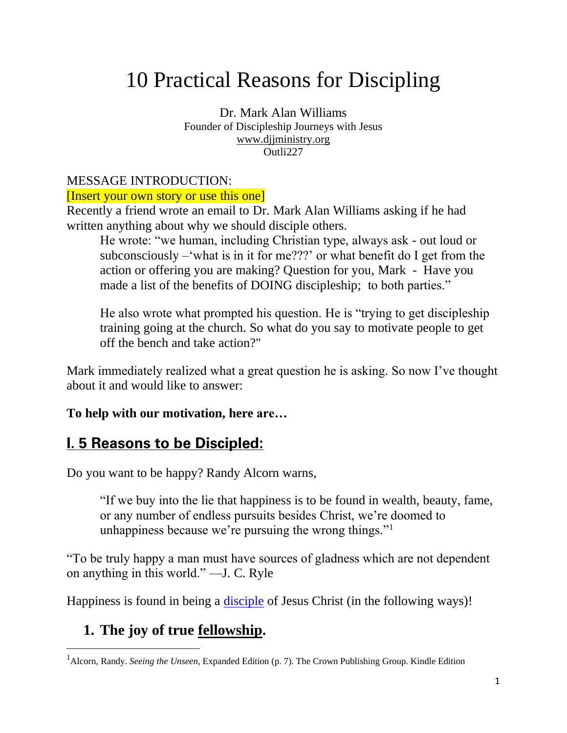# 10 Practical Reasons for Discipling

Dr. Mark Alan Williams Founder of Discipleship Journeys with Jesus [www.djjministry.org](http://www.djjministry.org/) Outli227

#### MESSAGE INTRODUCTION:

#### [Insert your own story or use this one]

Recently a friend wrote an email to Dr. Mark Alan Williams asking if he had written anything about why we should disciple others.

He wrote: "we human, including Christian type, always ask - out loud or subconsciously –'what is in it for me???' or what benefit do I get from the action or offering you are making? Question for you, Mark - Have you made a list of the benefits of DOING discipleship; to both parties."

He also wrote what prompted his question. He is "trying to get discipleship training going at the church. So what do you say to motivate people to get off the bench and take action?"

Mark immediately realized what a great question he is asking. So now I've thought about it and would like to answer:

#### **To help with our motivation, here are…**

# **I. 5 Reasons to be Discipled:**

Do you want to be happy? Randy Alcorn warns,

"If we buy into the lie that happiness is to be found in wealth, beauty, fame, or any number of endless pursuits besides Christ, we're doomed to unhappiness because we're pursuing the wrong things."<sup>1</sup>

"To be truly happy a man must have sources of gladness which are not dependent on anything in this world." —J. C. Ryle

Happiness is found in being a *disciple* of Jesus Christ (in the following ways)!

# **1. The joy of true fellowship.**

<sup>1</sup>Alcorn, Randy. *Seeing the Unseen*, Expanded Edition (p. 7). The Crown Publishing Group. Kindle Edition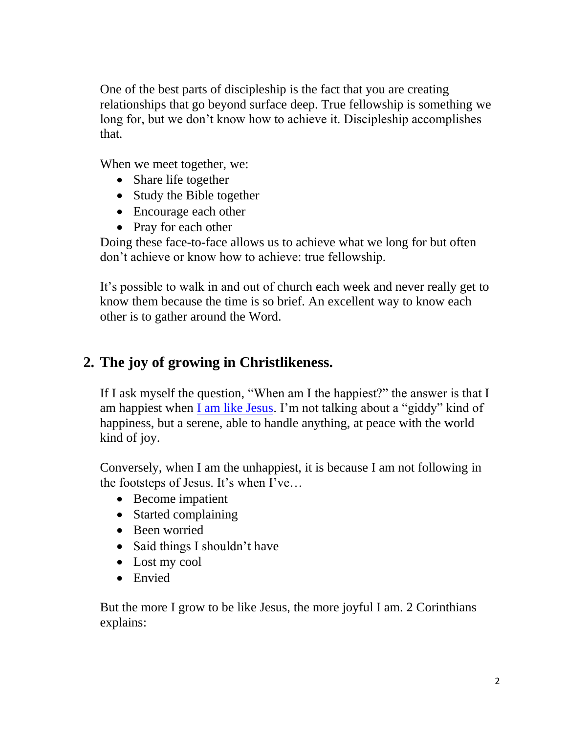One of the best parts of discipleship is the fact that you are creating relationships that go beyond surface deep. True fellowship is something we long for, but we don't know how to achieve it. Discipleship accomplishes that.

When we meet together, we:

- Share life together
- Study the Bible together
- Encourage each other
- Pray for each other

Doing these face-to-face allows us to achieve what we long for but often don't achieve or know how to achieve: true fellowship.

It's possible to walk in and out of church each week and never really get to know them because the time is so brief. An excellent way to know each other is to gather around the Word.

## **2. The joy of growing in Christlikeness.**

If I ask myself the question, "When am I the happiest?" the answer is that I am happiest when [I am like Jesus.](https://www.markalanwilliams.net/post/2016/05/24/5-reasons-gods-definition-success-wonderful) I'm not talking about a "giddy" kind of happiness, but a serene, able to handle anything, at peace with the world kind of joy.

Conversely, when I am the unhappiest, it is because I am not following in the footsteps of Jesus. It's when I've…

- Become impatient
- Started complaining
- Been worried
- Said things I shouldn't have
- Lost my cool
- Envied

But the more I grow to be like Jesus, the more joyful I am. 2 Corinthians explains: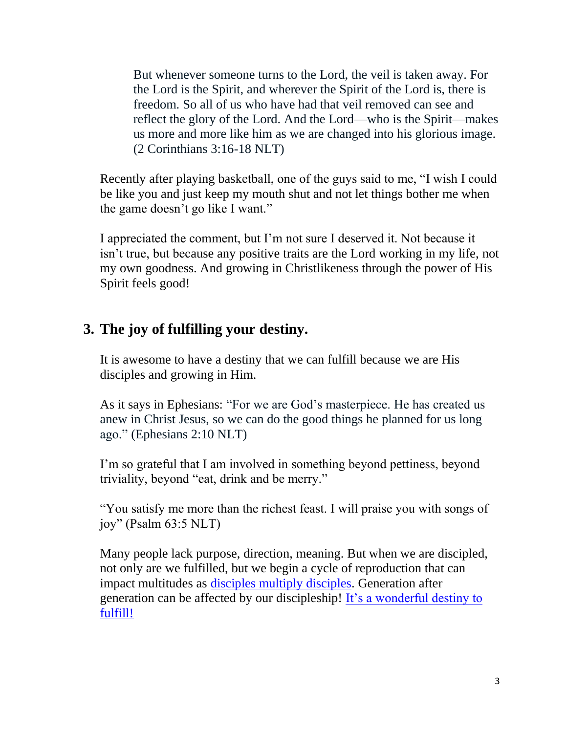But whenever someone turns to the Lord, the veil is taken away. For the Lord is the Spirit, and wherever the Spirit of the Lord is, there is freedom. So all of us who have had that veil removed can see and reflect the glory of the Lord. And the Lord—who is the Spirit—makes us more and more like him as we are changed into his glorious image. (2 Corinthians 3:16-18 NLT)

Recently after playing basketball, one of the guys said to me, "I wish I could be like you and just keep my mouth shut and not let things bother me when the game doesn't go like I want."

I appreciated the comment, but I'm not sure I deserved it. Not because it isn't true, but because any positive traits are the Lord working in my life, not my own goodness. And growing in Christlikeness through the power of His Spirit feels good!

### **3. The joy of fulfilling your destiny.**

It is awesome to have a destiny that we can fulfill because we are His disciples and growing in Him.

As it says in Ephesians: "For we are God's masterpiece. He has created us anew in Christ Jesus, so we can do the good things he planned for us long ago." (Ephesians 2:10 NLT)

I'm so grateful that I am involved in something beyond pettiness, beyond triviality, beyond "eat, drink and be merry."

"You satisfy me more than the richest feast. I will praise you with songs of joy" (Psalm  $63:5$  NLT)

Many people lack purpose, direction, meaning. But when we are discipled, not only are we fulfilled, but we begin a cycle of reproduction that can impact multitudes as [disciples multiply disciples.](https://www.markalanwilliams.net/post/2018/09/17/the-desperate-need-for-discipleship/) Generation after generation can be affected by our discipleship! [It's a wonderful destiny to](https://www.markalanwilliams.net/post/2018/03/08/loved-helped-will-remember/)  [fulfill!](https://www.markalanwilliams.net/post/2018/03/08/loved-helped-will-remember/)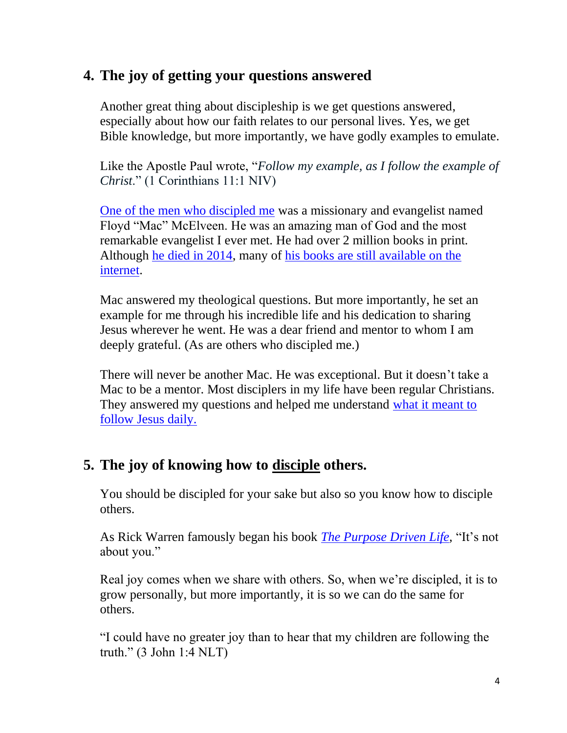## **4. The joy of getting your questions answered**

Another great thing about discipleship is we get questions answered, especially about how our faith relates to our personal lives. Yes, we get Bible knowledge, but more importantly, we have godly examples to emulate.

Like the Apostle Paul wrote, "*Follow my example, as I follow the example of Christ*." (1 Corinthians 11:1 NIV)

[One of the men who discipled me](http://www.markalanwilliams.net/2012/09/03/the-power-of-mentoring/) was a missionary and evangelist named Floyd "Mac" McElveen. He was an amazing man of God and the most remarkable evangelist I ever met. He had over 2 million books in print. Although [he died in 2014,](https://www.legacy.com/obituaries/hattiesburgamerican/obituary.aspx?n=floyd-mcelveen&pid=170823755&fhid=26056) many of [his books are still available on the](https://www.amazon.com/s?k=floyd+mcelveen&dc&qid=1568225724&ref=aw_s_fkmr0)  [internet.](https://www.amazon.com/s?k=floyd+mcelveen&dc&qid=1568225724&ref=aw_s_fkmr0)

Mac answered my theological questions. But more importantly, he set an example for me through his incredible life and his dedication to sharing Jesus wherever he went. He was a dear friend and mentor to whom I am deeply grateful. (As are others who discipled me.)

There will never be another Mac. He was exceptional. But it doesn't take a Mac to be a mentor. Most disciplers in my life have been regular Christians. They answered my questions and helped me understand [what it meant to](https://www.markalanwilliams.net/post/2016/10/11/know-youre-powerful-fruitful-christian)  [follow Jesus daily.](https://www.markalanwilliams.net/post/2016/10/11/know-youre-powerful-fruitful-christian) 

### **5. The joy of knowing how to disciple others.**

You should be discipled for your sake but also so you know how to disciple others.

As Rick Warren famously began his book *[The Purpose Driven Life,](https://www.amazon.com/Purpose-Driven-Life-What-Earth/dp/031033750X)* "It's not about you."

Real joy comes when we share with others. So, when we're discipled, it is to grow personally, but more importantly, it is so we can do the same for others.

"I could have no greater joy than to hear that my children are following the truth." (3 John 1:4 NLT)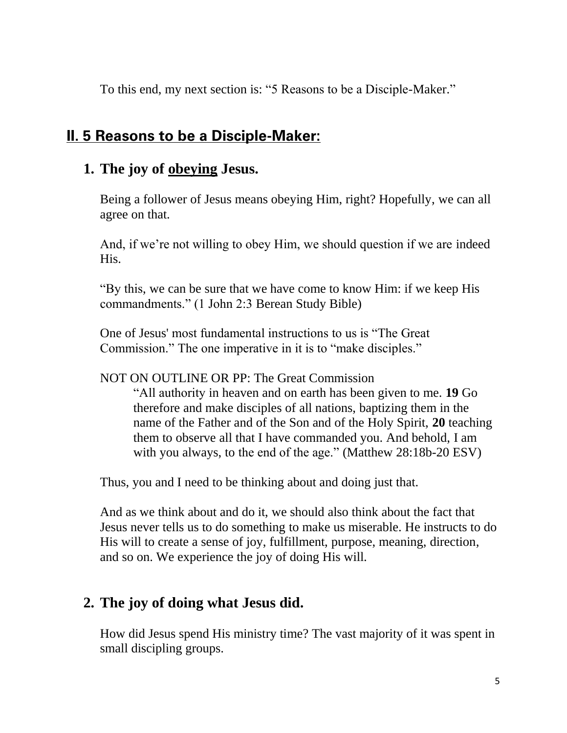To this end, my next section is: "5 Reasons to be a Disciple-Maker."

# **II. 5 Reasons to be a Disciple-Maker:**

#### **1. The joy of obeying Jesus.**

Being a follower of Jesus means obeying Him, right? Hopefully, we can all agree on that.

And, if we're not willing to obey Him, we should question if we are indeed His.

"By this, we can be sure that we have come to know Him: if we keep His commandments." (1 John 2:3 Berean Study Bible)

One of Jesus' most fundamental instructions to us is "The Great Commission." The one imperative in it is to "make disciples."

NOT ON OUTLINE OR PP: The Great Commission

"All authority in heaven and on earth has been given to me. **19** Go therefore and make disciples of all nations, baptizing them in the name of the Father and of the Son and of the Holy Spirit, **20** teaching them to observe all that I have commanded you. And behold, I am with you always, to the end of the age." (Matthew 28:18b-20 ESV)

Thus, you and I need to be thinking about and doing just that.

And as we think about and do it, we should also think about the fact that Jesus never tells us to do something to make us miserable. He instructs to do His will to create a sense of joy, fulfillment, purpose, meaning, direction, and so on. We experience the joy of doing His will.

### **2. The joy of doing what Jesus did.**

How did Jesus spend His ministry time? The vast majority of it was spent in small discipling groups.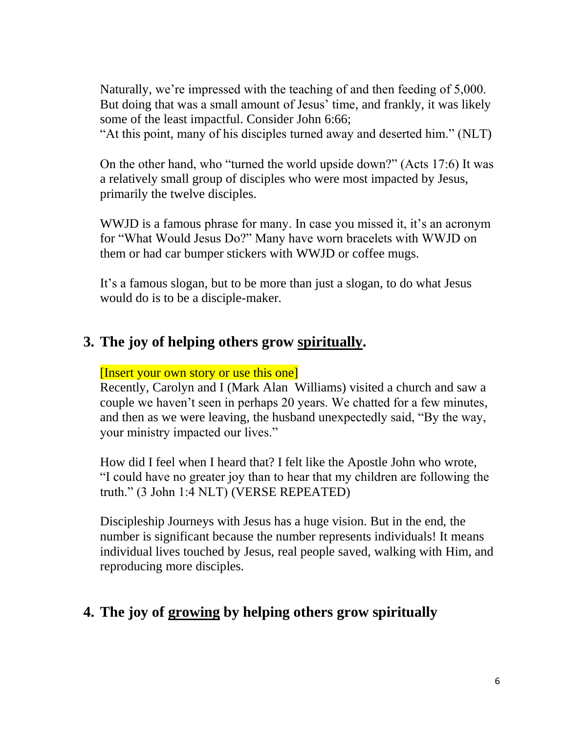Naturally, we're impressed with the teaching of and then feeding of 5,000. But doing that was a small amount of Jesus' time, and frankly, it was likely some of the least impactful. Consider John 6:66; "At this point, many of his disciples turned away and deserted him." (NLT)

On the other hand, who "turned the world upside down?" (Acts 17:6) It was a relatively small group of disciples who were most impacted by Jesus, primarily the twelve disciples.

WWJD is a famous phrase for many. In case you missed it, it's an acronym for "What Would Jesus Do?" Many have worn bracelets with WWJD on them or had car bumper stickers with WWJD or coffee mugs.

It's a famous slogan, but to be more than just a slogan, to do what Jesus would do is to be a disciple-maker.

### **3. The joy of helping others grow spiritually.**

#### [Insert your own story or use this one]

Recently, Carolyn and I (Mark Alan Williams) visited a church and saw a couple we haven't seen in perhaps 20 years. We chatted for a few minutes, and then as we were leaving, the husband unexpectedly said, "By the way, your ministry impacted our lives."

How did I feel when I heard that? I felt like the Apostle John who wrote, "I could have no greater joy than to hear that my children are following the truth." (3 John 1:4 NLT) (VERSE REPEATED)

Discipleship Journeys with Jesus has a huge vision. But in the end, the number is significant because the number represents individuals! It means individual lives touched by Jesus, real people saved, walking with Him, and reproducing more disciples.

# **4. The joy of growing by helping others grow spiritually**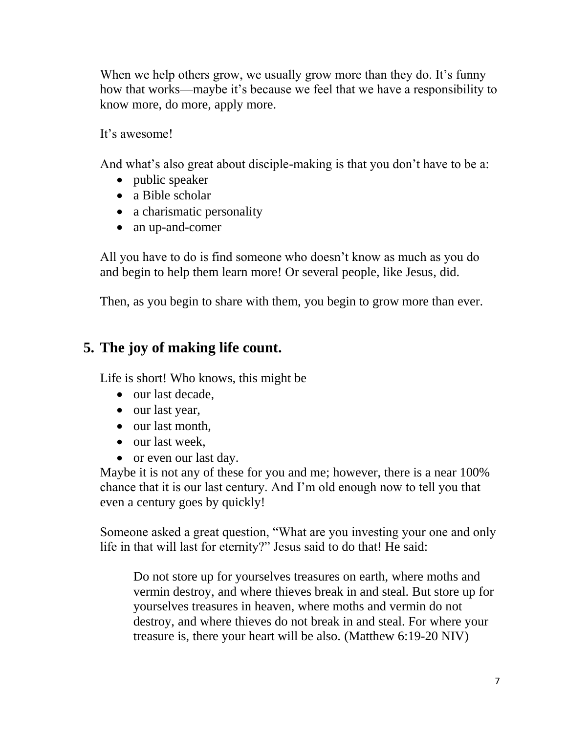When we help others grow, we usually grow more than they do. It's funny how that works—maybe it's because we feel that we have a responsibility to know more, do more, apply more.

It's awesome!

And what's also great about disciple-making is that you don't have to be a:

- public speaker
- a Bible scholar
- a charismatic personality
- an up-and-comer

All you have to do is find someone who doesn't know as much as you do and begin to help them learn more! Or several people, like Jesus, did.

Then, as you begin to share with them, you begin to grow more than ever.

# **5. The joy of making life count.**

Life is short! Who knows, this might be

- our last decade.
- our last year,
- our last month,
- our last week,
- or even our last day.

Maybe it is not any of these for you and me; however, there is a near 100% chance that it is our last century. And I'm old enough now to tell you that even a century goes by quickly!

Someone asked a great question, "What are you investing your one and only life in that will last for eternity?" Jesus said to do that! He said:

Do not store up for yourselves treasures on earth, where moths and vermin destroy, and where thieves break in and steal. But store up for yourselves treasures in heaven, where moths and vermin do not destroy, and where thieves do not break in and steal. For where your treasure is, there your heart will be also. (Matthew 6:19-20 NIV)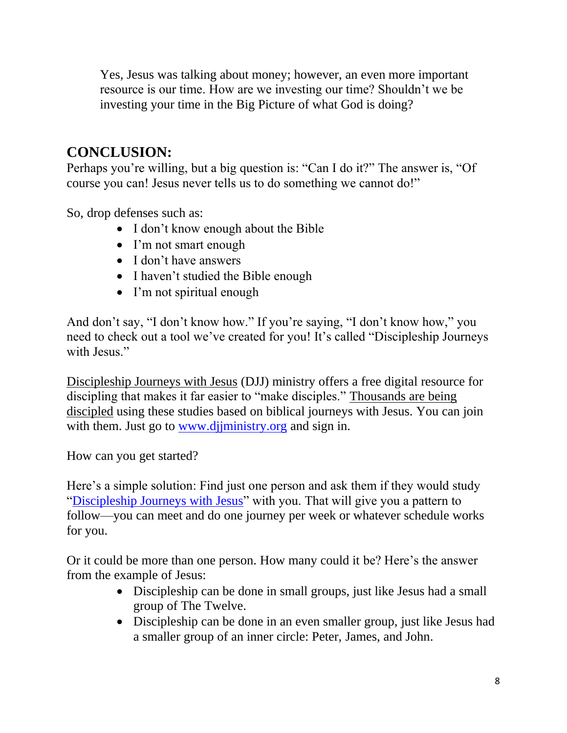Yes, Jesus was talking about money; however, an even more important resource is our time. How are we investing our time? Shouldn't we be investing your time in the Big Picture of what God is doing?

# **CONCLUSION:**

Perhaps you're willing, but a big question is: "Can I do it?" The answer is, "Of course you can! Jesus never tells us to do something we cannot do!"

So, drop defenses such as:

- I don't know enough about the Bible
- I'm not smart enough
- I don't have answers
- I haven't studied the Bible enough
- I'm not spiritual enough

And don't say, "I don't know how." If you're saying, "I don't know how," you need to check out a tool we've created for you! It's called "Discipleship Journeys with Jesus."

[Discipleship Journeys with Jesus](https://djjministry.org/) (DJJ) ministry offers a free digital resource for discipling that makes it far easier to "make disciples." [Thousands are being](https://www.markalanwilliams.net/post/100-million-disciples-why-and-how)  [discipled](https://www.markalanwilliams.net/post/100-million-disciples-why-and-how) using these studies based on biblical journeys with Jesus. You can join with them. Just go to www.djiministry.org and sign in.

How can you get started?

Here's a simple solution: Find just one person and ask them if they would study ["Discipleship Journeys with Jesus"](https://djjministry.org/) with you. That will give you a pattern to follow—you can meet and do one journey per week or whatever schedule works for you.

Or it could be more than one person. How many could it be? Here's the answer from the example of Jesus:

- Discipleship can be done in small groups, just like Jesus had a small group of The Twelve.
- Discipleship can be done in an even smaller group, just like Jesus had a smaller group of an inner circle: Peter, James, and John.